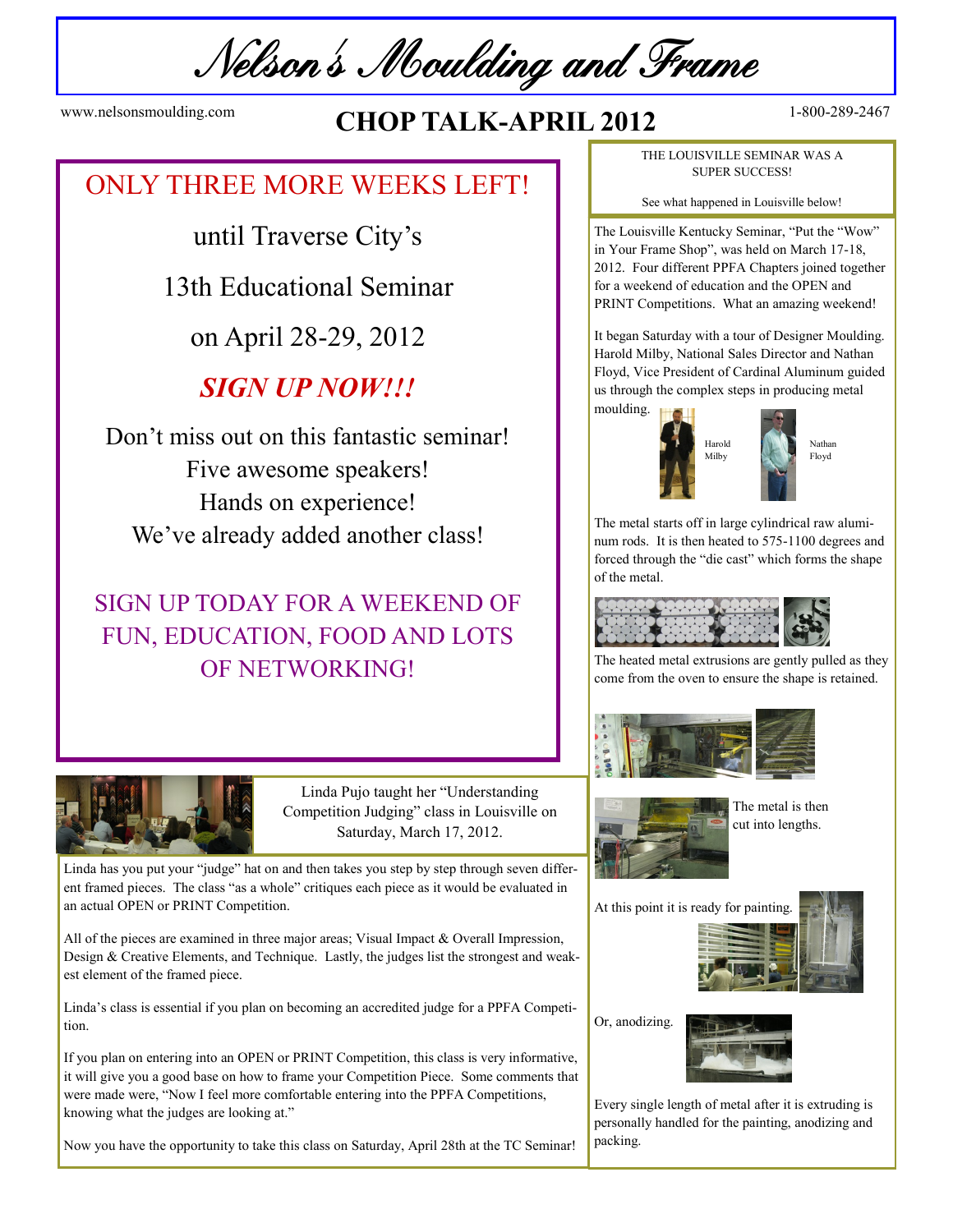Nelson's Moulding and Frame

# www.nelsonsmoulding.com **CHOP TALK-APRIL 2012** <sup>1-800-289-2467</sup>

# ONLY THREE MORE WEEKS LEFT!

until Traverse City's

13th Educational Seminar

on April 28-29, 2012

## *SIGN UP NOW!!!*

Don't miss out on this fantastic seminar! Five awesome speakers! Hands on experience! We've already added another class!

# SIGN UP TODAY FOR A WEEKEND OF FUN, EDUCATION, FOOD AND LOTS OF NETWORKING!



Linda Pujo taught her "Understanding Competition Judging" class in Louisville on Saturday, March 17, 2012.

Linda has you put your "judge" hat on and then takes you step by step through seven different framed pieces. The class "as a whole" critiques each piece as it would be evaluated in an actual OPEN or PRINT Competition.

All of the pieces are examined in three major areas; Visual Impact & Overall Impression, Design & Creative Elements, and Technique. Lastly, the judges list the strongest and weakest element of the framed piece.

Linda's class is essential if you plan on becoming an accredited judge for a PPFA Competition.

If you plan on entering into an OPEN or PRINT Competition, this class is very informative, it will give you a good base on how to frame your Competition Piece. Some comments that were made were, "Now I feel more comfortable entering into the PPFA Competitions, knowing what the judges are looking at."

Now you have the opportunity to take this class on Saturday, April 28th at the TC Seminar!

THE LOUISVILLE SEMINAR WAS A SUPER SUCCESS!

See what happened in Louisville below!

The Louisville Kentucky Seminar, "Put the "Wow" in Your Frame Shop", was held on March 17-18, 2012. Four different PPFA Chapters joined together for a weekend of education and the OPEN and PRINT Competitions. What an amazing weekend!

It began Saturday with a tour of Designer Moulding. Harold Milby, National Sales Director and Nathan Floyd, Vice President of Cardinal Aluminum guided us through the complex steps in producing metal moulding.



Nathan Floyd

The metal starts off in large cylindrical raw aluminum rods. It is then heated to 575-1100 degrees and forced through the "die cast" which forms the shape of the metal.



The heated metal extrusions are gently pulled as they come from the oven to ensure the shape is retained.





The metal is then cut into lengths.



Or, anodizing.



Every single length of metal after it is extruding is personally handled for the painting, anodizing and packing.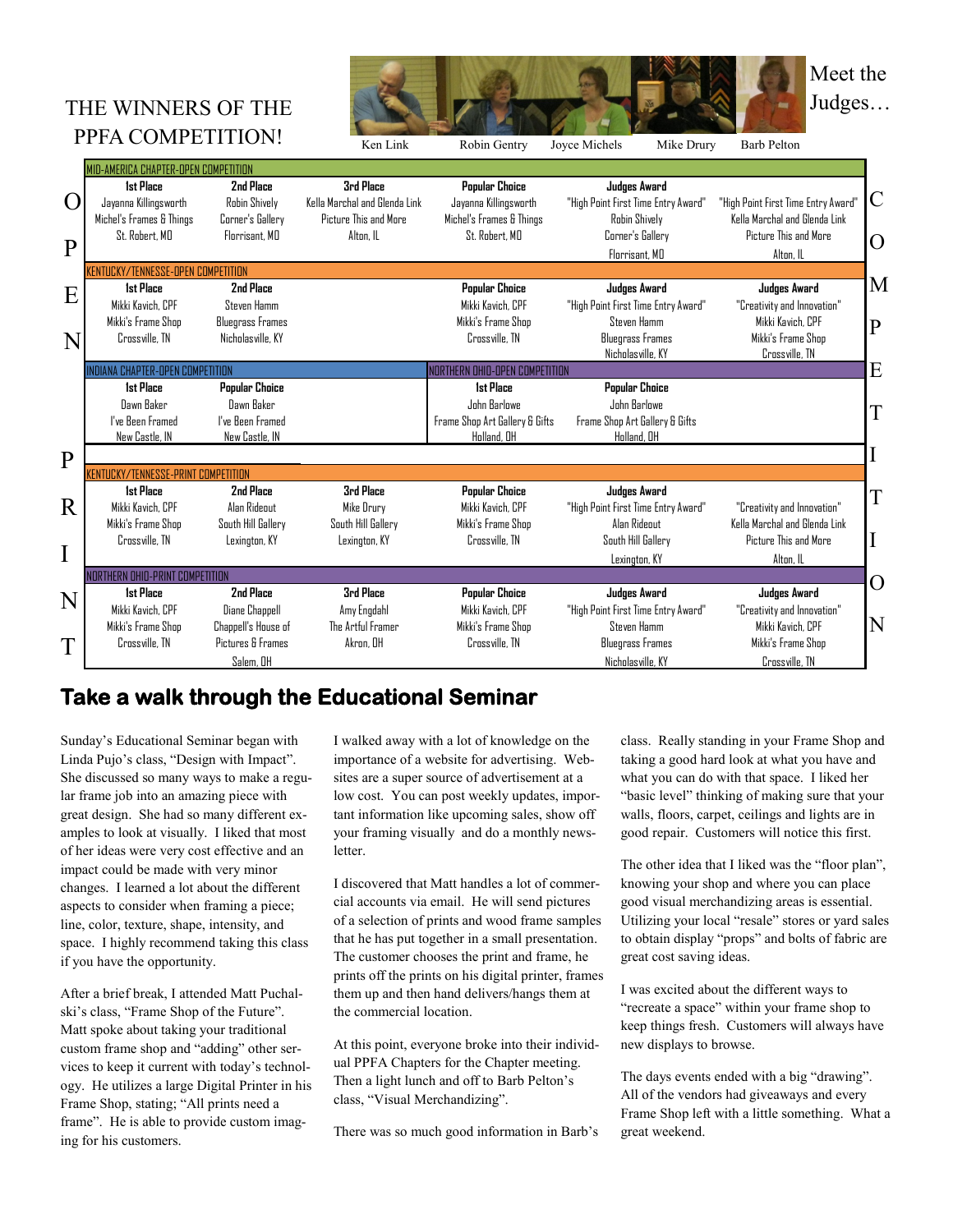# PPFA COMPETITION!



|              | $111A$ CONIL ETHION:                      |                         | Ken Link                      | Robin Gentry                   | Joyce Michels<br>Mike Drury                  | <b>Barb Pelton</b>                   |
|--------------|-------------------------------------------|-------------------------|-------------------------------|--------------------------------|----------------------------------------------|--------------------------------------|
|              | MID-AMERICA CHAPTER-OPEN COMPETITION      |                         |                               |                                |                                              |                                      |
|              | <b>Ist Place</b>                          | 2nd Place               | <b>3rd Place</b>              | <b>Popular Choice</b>          | Judges Award                                 |                                      |
| O            | Jayanna Killingsworth                     | Robin Shively           | Kella Marchal and Glenda Link | Jayanna Killingsworth          | "High Point First Time Entry Award"          | "High Point First Time Entry Award'  |
|              | Michel's Frames & Things                  | Corner's Gallery        | Picture This and More         | Michel's Frames & Things       | Robin Shively                                | Kella Marchal and Glenda Link        |
|              | St. Robert, MD                            | Florrisant, MD          | Alton, IL                     | St. Robert, MD                 | Corner's Gallery                             | Picture This and More                |
| $\mathbf{P}$ |                                           |                         |                               |                                | Florrisant, MD                               | Alton. IL                            |
|              | <b>KENTUCKY/TENNESSE-OPEN COMPETITION</b> |                         |                               |                                |                                              |                                      |
| E            | <b>1st Place</b>                          | 2nd Place               |                               | Popular Choice                 | Judges Award                                 | Judges Award                         |
|              | Mikki Kavich, CPF                         | Steven Hamm             |                               | Mikki Kavich, CPF              | "High Point First Time Entry Award"          | "Creativity and Innovation"          |
|              | Mikki's Frame Shop                        | <b>Bluegrass Frames</b> |                               | Mikki's Frame Shop             | Steven Hamm                                  | Mikki Kavich. CPF                    |
| N            | Crossville, TN                            | Nicholasville, KY       |                               | Crossville, TN                 | <b>Bluegrass Frames</b><br>Nicholasville, KY | Mikki's Frame Shop<br>Crossville, TN |
|              | <b>INDIANA CHAPTER-OPEN COMPETITION</b>   |                         |                               | NORTHERN OHIO-OPEN COMPETITION |                                              |                                      |
|              | <b>1st Place</b>                          | <b>Popular Choice</b>   |                               | <b>1st Place</b>               | Popular Choice                               |                                      |
|              | Dawn Baker                                | Dawn Baker              |                               | John Barlowe                   | John Barlowe                                 |                                      |
|              | I've Been Framed                          | I've Been Framed        |                               | Frame Shop Art Gallery & Gifts | Frame Shop Art Gallery & Gifts               |                                      |
|              | New Castle, IN                            | New Castle, IN          |                               | Holland, OH                    | Holland, OH                                  |                                      |
|              |                                           |                         |                               |                                |                                              |                                      |
|              | KENTUCKY/TENNESSE-PRINT COMPETITION       |                         |                               |                                |                                              |                                      |
|              | <b>1st Place</b>                          | 2nd Place               | <b>3rd Place</b>              | <b>Popular Choice</b>          | Judges Award                                 |                                      |
| R            | Mikki Kavich, CPF                         | Alan Rideout            | Mike Drury                    | Mikki Kavich, CPF              | "High Point First Time Entry Award"          | "Creativity and Innovation"          |
|              | Mikki's Frame Shop                        | South Hill Gallery      | South Hill Gallery            | Mikki's Frame Shop             | Alan Rideout                                 | Kella Marchal and Glenda Link        |
|              | Crossville, TN                            | Lexington, KY           | Lexington, KY                 | Crossville, TN                 | South Hill Gallery                           | Picture This and More                |
|              |                                           |                         |                               |                                | Lexinoton, KY                                | Alton. IL                            |
|              | NORTHERN OHIO-PRINT COMPETITION           |                         |                               |                                |                                              |                                      |
|              | <b>1st Place</b>                          | 2nd Place               | <b>3rd Place</b>              | <b>Popular Choice</b>          | Judges Award                                 | Judges Award                         |
| N            | Mikki Kavich, CPF                         | Diane Chappell          | Amy Engdahl                   | Mikki Kavich, CPF              | "High Point First Time Entry Award"          | "Creativity and Innovation"          |
|              | Mikki's Frame Shop                        | Chappell's House of     | The Artful Framer             | Mikki's Frame Shop             | Steven Hamm                                  | Mikki Kavich. CPF                    |
| T            | Crossville, TN                            | Pictures & Frames       | Akron, OH                     | Crossville, TN                 | <b>Bluegrass Frames</b>                      | Mikki's Frame Shop                   |
|              |                                           | Salem, OH               |                               |                                | Nicholasville, KY                            | Crossville, TN                       |

## **Take a walk through the Educational Seminar**

Sunday's Educational Seminar began with Linda Pujo's class, "Design with Impact". She discussed so many ways to make a regular frame job into an amazing piece with great design. She had so many different examples to look at visually. I liked that most of her ideas were very cost effective and an impact could be made with very minor changes. I learned a lot about the different aspects to consider when framing a piece; line, color, texture, shape, intensity, and space. I highly recommend taking this class if you have the opportunity.

After a brief break, I attended Matt Puchalski's class, "Frame Shop of the Future". Matt spoke about taking your traditional custom frame shop and "adding" other services to keep it current with today's technology. He utilizes a large Digital Printer in his Frame Shop, stating; "All prints need a frame". He is able to provide custom imaging for his customers.

I walked away with a lot of knowledge on the importance of a website for advertising. Websites are a super source of advertisement at a low cost. You can post weekly updates, important information like upcoming sales, show off your framing visually and do a monthly newsletter.

I discovered that Matt handles a lot of commercial accounts via email. He will send pictures of a selection of prints and wood frame samples that he has put together in a small presentation. The customer chooses the print and frame, he prints off the prints on his digital printer, frames them up and then hand delivers/hangs them at the commercial location.

At this point, everyone broke into their individual PPFA Chapters for the Chapter meeting. Then a light lunch and off to Barb Pelton's class, "Visual Merchandizing".

There was so much good information in Barb's

class. Really standing in your Frame Shop and taking a good hard look at what you have and what you can do with that space. I liked her "basic level" thinking of making sure that your walls, floors, carpet, ceilings and lights are in good repair. Customers will notice this first.

The other idea that I liked was the "floor plan", knowing your shop and where you can place good visual merchandizing areas is essential. Utilizing your local "resale" stores or yard sales to obtain display "props" and bolts of fabric are great cost saving ideas.

I was excited about the different ways to "recreate a space" within your frame shop to keep things fresh. Customers will always have new displays to browse.

The days events ended with a big "drawing". All of the vendors had giveaways and every Frame Shop left with a little something. What a great weekend.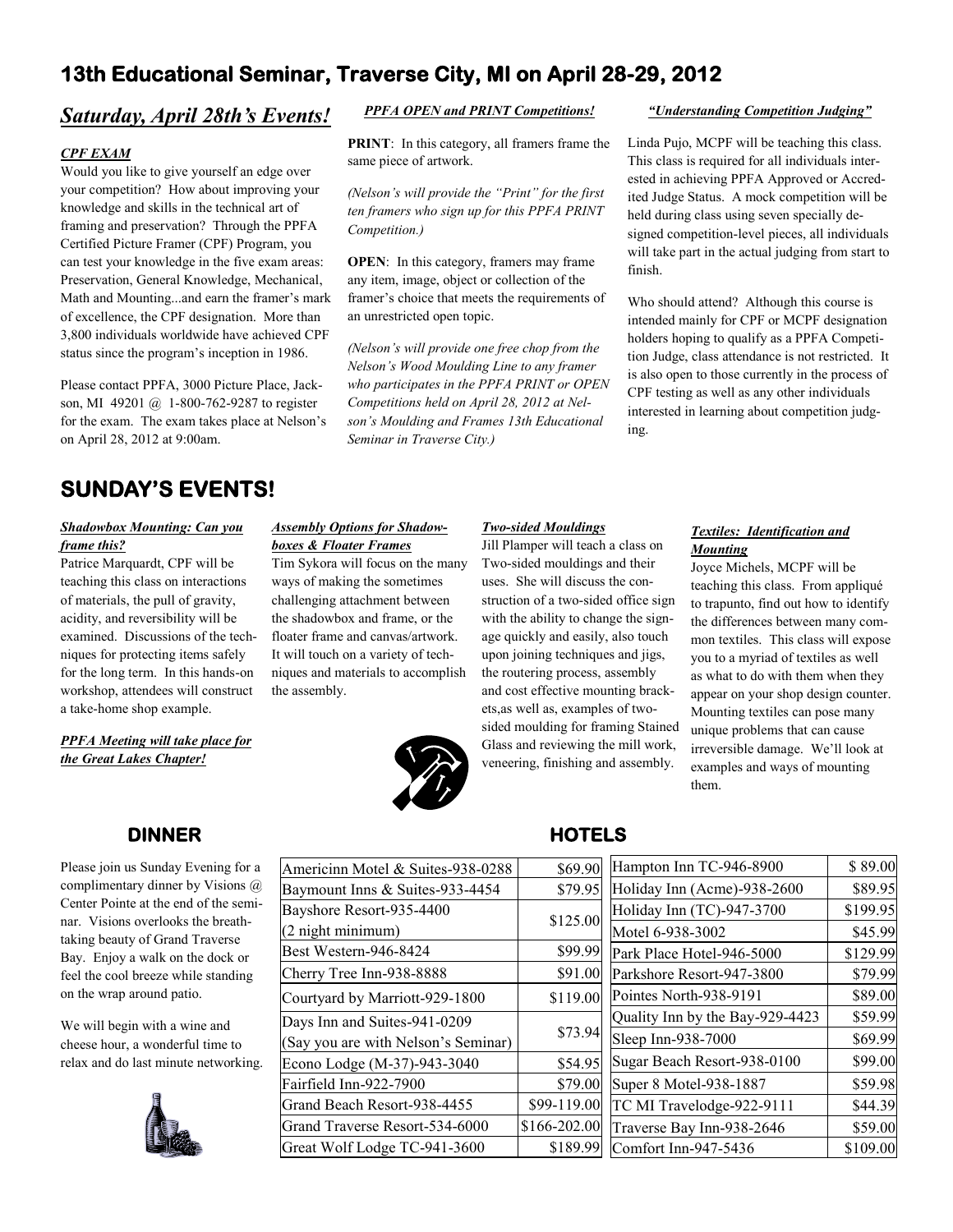## **13th Educational Seminar, Traverse City, MI on April 28-29, 2012**

## *Saturday, April 28th's Events!*

### *CPF EXAM*

Would you like to give yourself an edge over your competition? How about improving your knowledge and skills in the technical art of framing and preservation? Through the PPFA Certified Picture Framer (CPF) Program, you can test your knowledge in the five exam areas: Preservation, General Knowledge, Mechanical, Math and Mounting...and earn the framer's mark of excellence, the CPF designation. More than 3,800 individuals worldwide have achieved CPF status since the program's inception in 1986.

Please contact PPFA, 3000 Picture Place, Jackson, MI 49201 @ 1-800-762-9287 to register for the exam. The exam takes place at Nelson's on April 28, 2012 at 9:00am.

## *PPFA OPEN and PRINT Competitions!*

**PRINT**: In this category, all framers frame the same piece of artwork.

*(Nelson's will provide the "Print" for the first ten framers who sign up for this PPFA PRINT Competition.)*

**OPEN**: In this category, framers may frame any item, image, object or collection of the framer's choice that meets the requirements of an unrestricted open topic.

*(Nelson's will provide one free chop from the Nelson's Wood Moulding Line to any framer who participates in the PPFA PRINT or OPEN Competitions held on April 28, 2012 at Nelson's Moulding and Frames 13th Educational Seminar in Traverse City.)*

#### *"Understanding Competition Judging"*

Linda Pujo, MCPF will be teaching this class. This class is required for all individuals interested in achieving PPFA Approved or Accredited Judge Status. A mock competition will be held during class using seven specially designed competition-level pieces, all individuals will take part in the actual judging from start to finish.

Who should attend? Although this course is intended mainly for CPF or MCPF designation holders hoping to qualify as a PPFA Competition Judge, class attendance is not restricted. It is also open to those currently in the process of CPF testing as well as any other individuals interested in learning about competition judging.

## **SUNDAY'S EVENTS!**

#### *Shadowbox Mounting: Can you frame this?*

Patrice Marquardt, CPF will be teaching this class on interactions of materials, the pull of gravity, acidity, and reversibility will be examined. Discussions of the techniques for protecting items safely for the long term. In this hands-on workshop, attendees will construct a take-home shop example.

#### *PPFA Meeting will take place for the Great Lakes Chapter!*

#### *Assembly Options for Shadowboxes & Floater Frames*

Tim Sykora will focus on the many ways of making the sometimes challenging attachment between the shadowbox and frame, or the floater frame and canvas/artwork. It will touch on a variety of techniques and materials to accomplish the assembly.



#### *Two-sided Mouldings*

Jill Plamper will teach a class on Two-sided mouldings and their uses. She will discuss the construction of a two-sided office sign with the ability to change the signage quickly and easily, also touch upon joining techniques and jigs, the routering process, assembly and cost effective mounting brackets,as well as, examples of twosided moulding for framing Stained Glass and reviewing the mill work, veneering, finishing and assembly.

## *Textiles: Identification and Mounting*

Joyce Michels, MCPF will be teaching this class. From appliqué to trapunto, find out how to identify the differences between many common textiles. This class will expose you to a myriad of textiles as well as what to do with them when they appear on your shop design counter. Mounting textiles can pose many unique problems that can cause irreversible damage. We'll look at examples and ways of mounting them.

## **DINNER**

Please join us Sunday Evening for a complimentary dinner by Visions @ Center Pointe at the end of the seminar. Visions overlooks the breathtaking beauty of Grand Traverse Bay. Enjoy a walk on the dock or feel the cool breeze while standing on the wrap around patio.

We will begin with a wine and cheese hour, a wonderful time to relax and do last minute networking.



| Americinn Motel & Suites-938-0288   | \$69.90      |  |
|-------------------------------------|--------------|--|
| Baymount Inns & Suites-933-4454     | \$79.95      |  |
| Bayshore Resort-935-4400            | \$125.00     |  |
| (2 night minimum)                   |              |  |
| Best Western-946-8424               | \$99.99      |  |
| Cherry Tree Inn-938-8888            | \$91.00      |  |
| Courtyard by Marriott-929-1800      | \$119.00     |  |
| Days Inn and Suites-941-0209        |              |  |
| (Say you are with Nelson's Seminar) | \$73.94      |  |
| Econo Lodge (M-37)-943-3040         | \$54.95      |  |
| Fairfield Inn-922-7900              | \$79.00      |  |
| Grand Beach Resort-938-4455         | \$99-119.00  |  |
| Grand Traverse Resort-534-6000      | \$166-202.00 |  |
| Great Wolf Lodge TC-941-3600        | \$189.99     |  |

## **HOTELS**

| $\overline{0}$ | Hampton Inn TC-946-8900         | \$89.00  |
|----------------|---------------------------------|----------|
| 5              | Holiday Inn (Acme)-938-2600     | \$89.95  |
| $\overline{0}$ | Holiday Inn (TC)-947-3700       | \$199.95 |
|                | Motel 6-938-3002                | \$45.99  |
| $\overline{9}$ | Park Place Hotel-946-5000       | \$129.99 |
|                | Parkshore Resort-947-3800       | \$79.99  |
| 0              | Pointes North-938-9191          | \$89.00  |
| 4              | Quality Inn by the Bay-929-4423 | \$59.99  |
|                | Sleep Inn-938-7000              | \$69.99  |
| 5              | Sugar Beach Resort-938-0100     | \$99.00  |
| $\overline{0}$ | Super 8 Motel-938-1887          | \$59.98  |
| $\mathbf{0}$   | TC MI Travelodge-922-9111       | \$44.39  |
| $\mathbf{0}$   | Traverse Bay Inn-938-2646       | \$59.00  |
| 9              | Comfort Inn-947-5436            | \$109.00 |